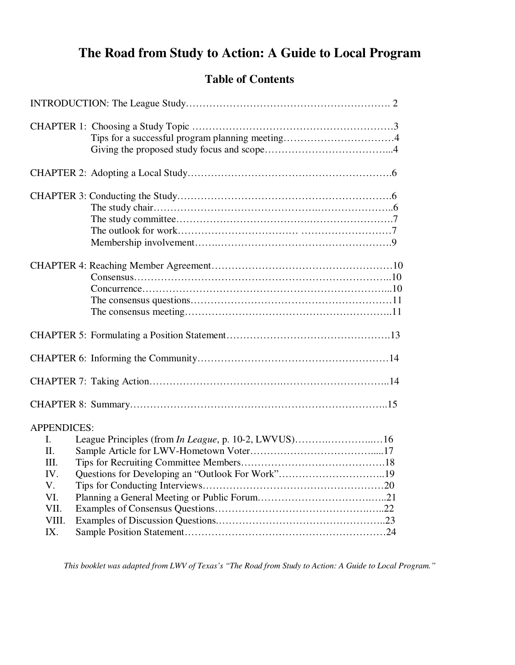# **The Road from Study to Action: A Guide to Local Program**

### **Table of Contents**

*This booklet was adapted from LWV of Texas's "The Road from Study to Action: A Guide to Local Program."*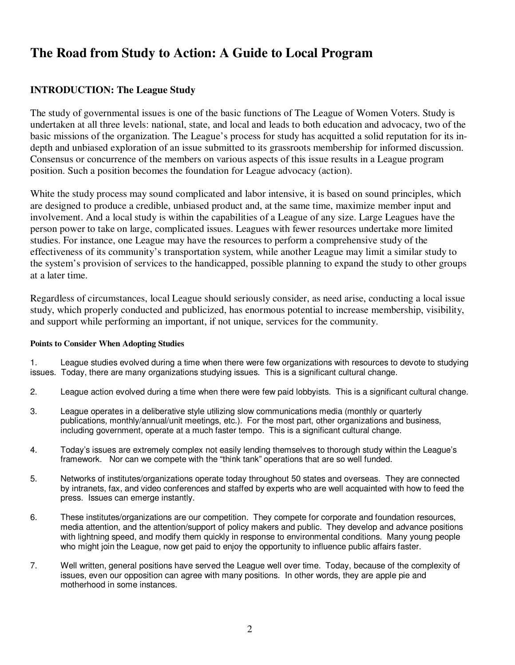# **The Road from Study to Action: A Guide to Local Program**

### **INTRODUCTION: The League Study**

The study of governmental issues is one of the basic functions of The League of Women Voters. Study is undertaken at all three levels: national, state, and local and leads to both education and advocacy, two of the basic missions of the organization. The League's process for study has acquitted a solid reputation for its indepth and unbiased exploration of an issue submitted to its grassroots membership for informed discussion. Consensus or concurrence of the members on various aspects of this issue results in a League program position. Such a position becomes the foundation for League advocacy (action).

White the study process may sound complicated and labor intensive, it is based on sound principles, which are designed to produce a credible, unbiased product and, at the same time, maximize member input and involvement. And a local study is within the capabilities of a League of any size. Large Leagues have the person power to take on large, complicated issues. Leagues with fewer resources undertake more limited studies. For instance, one League may have the resources to perform a comprehensive study of the effectiveness of its community's transportation system, while another League may limit a similar study to the system's provision of services to the handicapped, possible planning to expand the study to other groups at a later time.

Regardless of circumstances, local League should seriously consider, as need arise, conducting a local issue study, which properly conducted and publicized, has enormous potential to increase membership, visibility, and support while performing an important, if not unique, services for the community.

#### **Points to Consider When Adopting Studies**

1. League studies evolved during a time when there were few organizations with resources to devote to studying issues. Today, there are many organizations studying issues. This is a significant cultural change.

- 2. League action evolved during a time when there were few paid lobbyists. This is a significant cultural change.
- 3. League operates in a deliberative style utilizing slow communications media (monthly or quarterly publications, monthly/annual/unit meetings, etc.). For the most part, other organizations and business, including government, operate at a much faster tempo. This is a significant cultural change.
- 4. Today's issues are extremely complex not easily lending themselves to thorough study within the League's framework. Nor can we compete with the "think tank" operations that are so well funded.
- 5. Networks of institutes/organizations operate today throughout 50 states and overseas. They are connected by intranets, fax, and video conferences and staffed by experts who are well acquainted with how to feed the press. Issues can emerge instantly.
- 6. These institutes/organizations are our competition. They compete for corporate and foundation resources, media attention, and the attention/support of policy makers and public. They develop and advance positions with lightning speed, and modify them quickly in response to environmental conditions. Many young people who might join the League, now get paid to enjoy the opportunity to influence public affairs faster.
- 7. Well written, general positions have served the League well over time. Today, because of the complexity of issues, even our opposition can agree with many positions. In other words, they are apple pie and motherhood in some instances.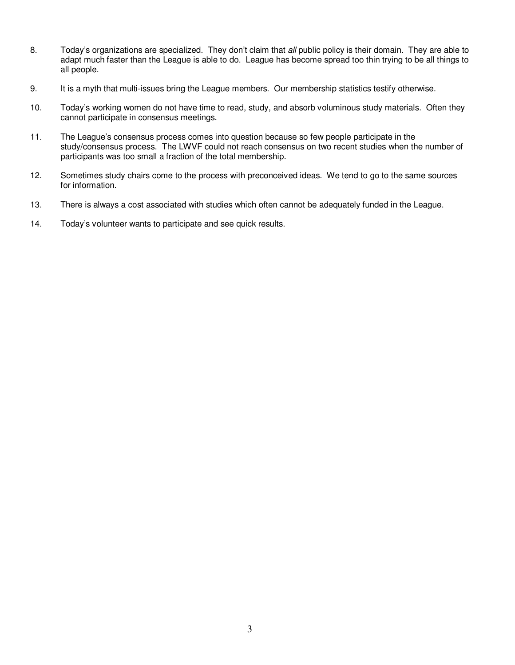- 8. Today's organizations are specialized. They don't claim that all public policy is their domain. They are able to adapt much faster than the League is able to do. League has become spread too thin trying to be all things to all people.
- 9. It is a myth that multi-issues bring the League members. Our membership statistics testify otherwise.
- 10. Today's working women do not have time to read, study, and absorb voluminous study materials. Often they cannot participate in consensus meetings.
- 11. The League's consensus process comes into question because so few people participate in the study/consensus process. The LWVF could not reach consensus on two recent studies when the number of participants was too small a fraction of the total membership.
- 12. Sometimes study chairs come to the process with preconceived ideas. We tend to go to the same sources for information.
- 13. There is always a cost associated with studies which often cannot be adequately funded in the League.
- 14. Today's volunteer wants to participate and see quick results.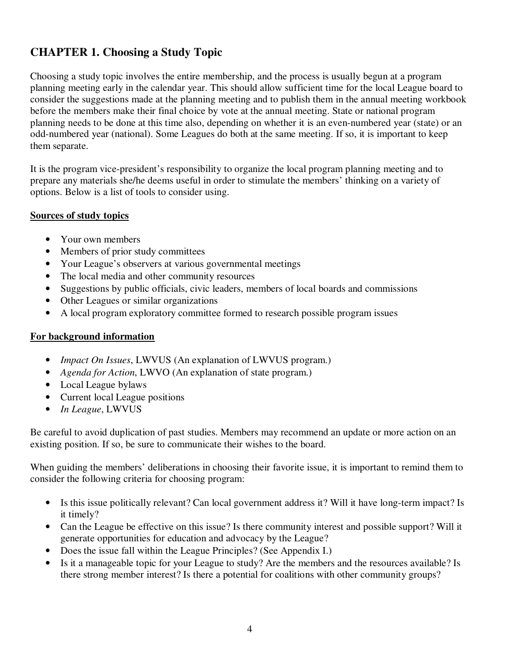# **CHAPTER 1. Choosing a Study Topic**

Choosing a study topic involves the entire membership, and the process is usually begun at a program planning meeting early in the calendar year. This should allow sufficient time for the local League board to consider the suggestions made at the planning meeting and to publish them in the annual meeting workbook before the members make their final choice by vote at the annual meeting. State or national program planning needs to be done at this time also, depending on whether it is an even-numbered year (state) or an odd-numbered year (national). Some Leagues do both at the same meeting. If so, it is important to keep them separate.

It is the program vice-president's responsibility to organize the local program planning meeting and to prepare any materials she/he deems useful in order to stimulate the members' thinking on a variety of options. Below is a list of tools to consider using.

#### **Sources of study topics**

- Your own members
- Members of prior study committees
- Your League's observers at various governmental meetings
- The local media and other community resources
- Suggestions by public officials, civic leaders, members of local boards and commissions
- Other Leagues or similar organizations
- A local program exploratory committee formed to research possible program issues

### **For background information**

- *Impact On Issues*, LWVUS (An explanation of LWVUS program.)
- *Agenda for Action*, LWVO (An explanation of state program.)
- Local League bylaws
- Current local League positions
- *In League*, LWVUS

Be careful to avoid duplication of past studies. Members may recommend an update or more action on an existing position. If so, be sure to communicate their wishes to the board.

When guiding the members' deliberations in choosing their favorite issue, it is important to remind them to consider the following criteria for choosing program:

- Is this issue politically relevant? Can local government address it? Will it have long-term impact? Is it timely?
- Can the League be effective on this issue? Is there community interest and possible support? Will it generate opportunities for education and advocacy by the League?
- Does the issue fall within the League Principles? (See Appendix I.)
- Is it a manageable topic for your League to study? Are the members and the resources available? Is there strong member interest? Is there a potential for coalitions with other community groups?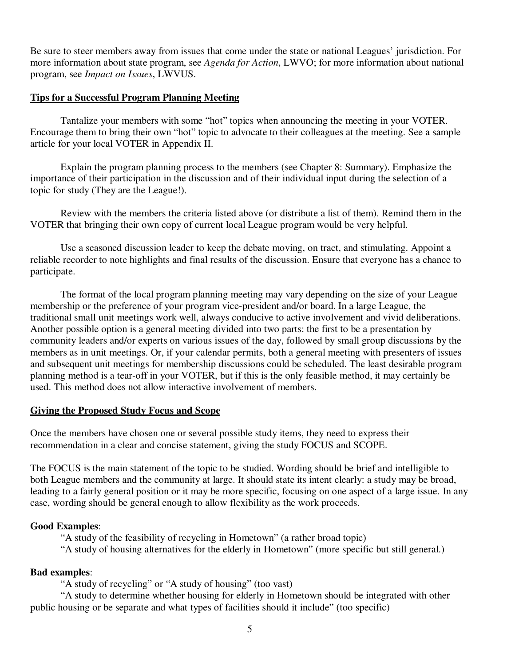Be sure to steer members away from issues that come under the state or national Leagues' jurisdiction. For more information about state program, see *Agenda for Action*, LWVO; for more information about national program, see *Impact on Issues*, LWVUS.

#### **Tips for a Successful Program Planning Meeting**

 Tantalize your members with some "hot" topics when announcing the meeting in your VOTER. Encourage them to bring their own "hot" topic to advocate to their colleagues at the meeting. See a sample article for your local VOTER in Appendix II.

 Explain the program planning process to the members (see Chapter 8: Summary). Emphasize the importance of their participation in the discussion and of their individual input during the selection of a topic for study (They are the League!).

 Review with the members the criteria listed above (or distribute a list of them). Remind them in the VOTER that bringing their own copy of current local League program would be very helpful.

 Use a seasoned discussion leader to keep the debate moving, on tract, and stimulating. Appoint a reliable recorder to note highlights and final results of the discussion. Ensure that everyone has a chance to participate.

 The format of the local program planning meeting may vary depending on the size of your League membership or the preference of your program vice-president and/or board. In a large League, the traditional small unit meetings work well, always conducive to active involvement and vivid deliberations. Another possible option is a general meeting divided into two parts: the first to be a presentation by community leaders and/or experts on various issues of the day, followed by small group discussions by the members as in unit meetings. Or, if your calendar permits, both a general meeting with presenters of issues and subsequent unit meetings for membership discussions could be scheduled. The least desirable program planning method is a tear-off in your VOTER, but if this is the only feasible method, it may certainly be used. This method does not allow interactive involvement of members.

#### **Giving the Proposed Study Focus and Scope**

Once the members have chosen one or several possible study items, they need to express their recommendation in a clear and concise statement, giving the study FOCUS and SCOPE.

The FOCUS is the main statement of the topic to be studied. Wording should be brief and intelligible to both League members and the community at large. It should state its intent clearly: a study may be broad, leading to a fairly general position or it may be more specific, focusing on one aspect of a large issue. In any case, wording should be general enough to allow flexibility as the work proceeds.

### **Good Examples**:

 "A study of the feasibility of recycling in Hometown" (a rather broad topic) "A study of housing alternatives for the elderly in Hometown" (more specific but still general.)

### **Bad examples**:

"A study of recycling" or "A study of housing" (too vast)

 "A study to determine whether housing for elderly in Hometown should be integrated with other public housing or be separate and what types of facilities should it include" (too specific)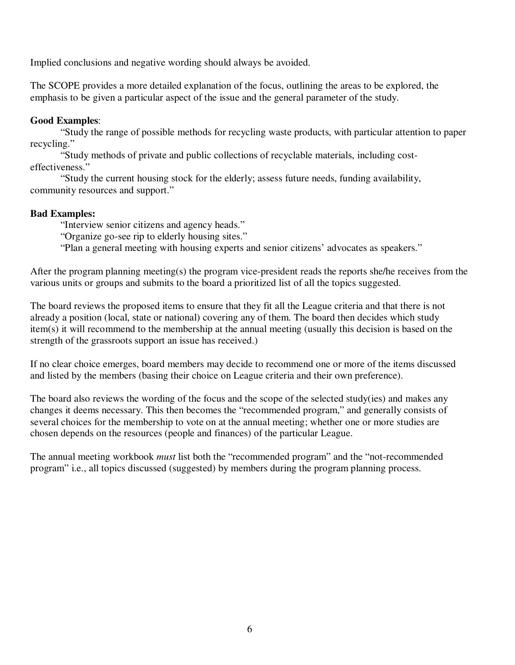Implied conclusions and negative wording should always be avoided.

The SCOPE provides a more detailed explanation of the focus, outlining the areas to be explored, the emphasis to be given a particular aspect of the issue and the general parameter of the study.

### **Good Examples**:

 "Study the range of possible methods for recycling waste products, with particular attention to paper recycling."

 "Study methods of private and public collections of recyclable materials, including costeffectiveness."

 "Study the current housing stock for the elderly; assess future needs, funding availability, community resources and support."

### **Bad Examples:**

"Interview senior citizens and agency heads."

"Organize go-see rip to elderly housing sites."

"Plan a general meeting with housing experts and senior citizens' advocates as speakers."

After the program planning meeting(s) the program vice-president reads the reports she/he receives from the various units or groups and submits to the board a prioritized list of all the topics suggested.

The board reviews the proposed items to ensure that they fit all the League criteria and that there is not already a position (local, state or national) covering any of them. The board then decides which study item(s) it will recommend to the membership at the annual meeting (usually this decision is based on the strength of the grassroots support an issue has received.)

If no clear choice emerges, board members may decide to recommend one or more of the items discussed and listed by the members (basing their choice on League criteria and their own preference).

The board also reviews the wording of the focus and the scope of the selected study(ies) and makes any changes it deems necessary. This then becomes the "recommended program," and generally consists of several choices for the membership to vote on at the annual meeting; whether one or more studies are chosen depends on the resources (people and finances) of the particular League.

The annual meeting workbook *must* list both the "recommended program" and the "not-recommended program" i.e., all topics discussed (suggested) by members during the program planning process.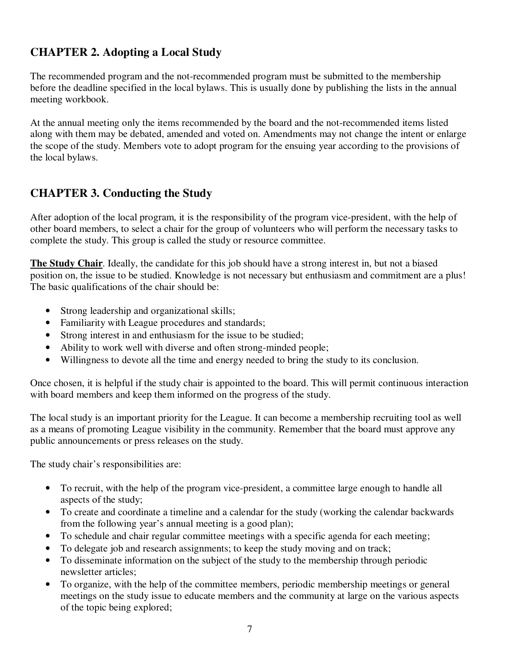# **CHAPTER 2. Adopting a Local Study**

The recommended program and the not-recommended program must be submitted to the membership before the deadline specified in the local bylaws. This is usually done by publishing the lists in the annual meeting workbook.

At the annual meeting only the items recommended by the board and the not-recommended items listed along with them may be debated, amended and voted on. Amendments may not change the intent or enlarge the scope of the study. Members vote to adopt program for the ensuing year according to the provisions of the local bylaws.

## **CHAPTER 3. Conducting the Study**

After adoption of the local program, it is the responsibility of the program vice-president, with the help of other board members, to select a chair for the group of volunteers who will perform the necessary tasks to complete the study. This group is called the study or resource committee.

**The Study Chair**. Ideally, the candidate for this job should have a strong interest in, but not a biased position on, the issue to be studied. Knowledge is not necessary but enthusiasm and commitment are a plus! The basic qualifications of the chair should be:

- Strong leadership and organizational skills;
- Familiarity with League procedures and standards;
- Strong interest in and enthusiasm for the issue to be studied;
- Ability to work well with diverse and often strong-minded people;
- Willingness to devote all the time and energy needed to bring the study to its conclusion.

Once chosen, it is helpful if the study chair is appointed to the board. This will permit continuous interaction with board members and keep them informed on the progress of the study.

The local study is an important priority for the League. It can become a membership recruiting tool as well as a means of promoting League visibility in the community. Remember that the board must approve any public announcements or press releases on the study.

The study chair's responsibilities are:

- To recruit, with the help of the program vice-president, a committee large enough to handle all aspects of the study;
- To create and coordinate a timeline and a calendar for the study (working the calendar backwards from the following year's annual meeting is a good plan);
- To schedule and chair regular committee meetings with a specific agenda for each meeting;
- To delegate job and research assignments; to keep the study moving and on track;
- To disseminate information on the subject of the study to the membership through periodic newsletter articles;
- To organize, with the help of the committee members, periodic membership meetings or general meetings on the study issue to educate members and the community at large on the various aspects of the topic being explored;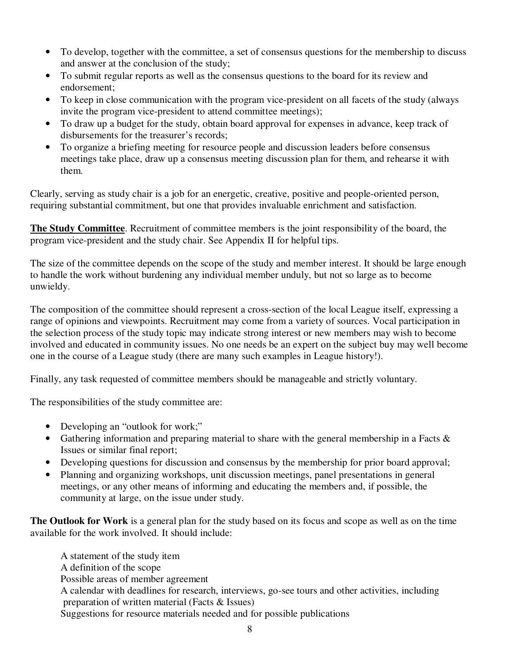- To develop, together with the committee, a set of consensus questions for the membership to discuss and answer at the conclusion of the study;
- To submit regular reports as well as the consensus questions to the board for its review and endorsement;
- To keep in close communication with the program vice-president on all facets of the study (always invite the program vice-president to attend committee meetings);
- To draw up a budget for the study, obtain board approval for expenses in advance, keep track of disbursements for the treasurer's records;
- To organize a briefing meeting for resource people and discussion leaders before consensus meetings take place, draw up a consensus meeting discussion plan for them, and rehearse it with them.

Clearly, serving as study chair is a job for an energetic, creative, positive and people-oriented person, requiring substantial commitment, but one that provides invaluable enrichment and satisfaction.

**The Study Committee**. Recruitment of committee members is the joint responsibility of the board, the program vice-president and the study chair. See Appendix II for helpful tips.

The size of the committee depends on the scope of the study and member interest. It should be large enough to handle the work without burdening any individual member unduly, but not so large as to become unwieldy.

The composition of the committee should represent a cross-section of the local League itself, expressing a range of opinions and viewpoints. Recruitment may come from a variety of sources. Vocal participation in the selection process of the study topic may indicate strong interest or new members may wish to become involved and educated in community issues. No one needs be an expert on the subject buy may well become one in the course of a League study (there are many such examples in League history!).

Finally, any task requested of committee members should be manageable and strictly voluntary.

The responsibilities of the study committee are:

- Developing an "outlook for work;"
- Gathering information and preparing material to share with the general membership in a Facts & Issues or similar final report;
- Developing questions for discussion and consensus by the membership for prior board approval;
- Planning and organizing workshops, unit discussion meetings, panel presentations in general meetings, or any other means of informing and educating the members and, if possible, the community at large, on the issue under study.

**The Outlook for Work** is a general plan for the study based on its focus and scope as well as on the time available for the work involved. It should include:

 A statement of the study item A definition of the scope Possible areas of member agreement A calendar with deadlines for research, interviews, go-see tours and other activities, including preparation of written material (Facts & Issues) Suggestions for resource materials needed and for possible publications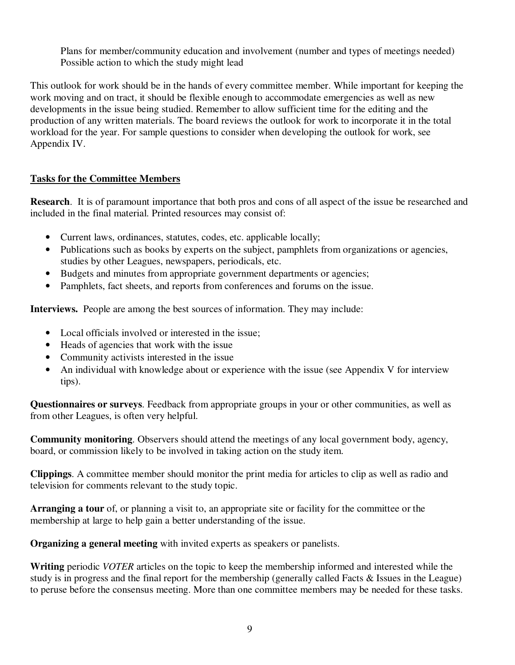Plans for member/community education and involvement (number and types of meetings needed) Possible action to which the study might lead

This outlook for work should be in the hands of every committee member. While important for keeping the work moving and on tract, it should be flexible enough to accommodate emergencies as well as new developments in the issue being studied. Remember to allow sufficient time for the editing and the production of any written materials. The board reviews the outlook for work to incorporate it in the total workload for the year. For sample questions to consider when developing the outlook for work, see Appendix IV.

### **Tasks for the Committee Members**

**Research**. It is of paramount importance that both pros and cons of all aspect of the issue be researched and included in the final material. Printed resources may consist of:

- Current laws, ordinances, statutes, codes, etc. applicable locally;
- Publications such as books by experts on the subject, pamphlets from organizations or agencies, studies by other Leagues, newspapers, periodicals, etc.
- Budgets and minutes from appropriate government departments or agencies;
- Pamphlets, fact sheets, and reports from conferences and forums on the issue.

**Interviews.** People are among the best sources of information. They may include:

- Local officials involved or interested in the issue;
- Heads of agencies that work with the issue
- Community activists interested in the issue
- An individual with knowledge about or experience with the issue (see Appendix V for interview tips).

**Questionnaires or surveys**. Feedback from appropriate groups in your or other communities, as well as from other Leagues, is often very helpful.

**Community monitoring**. Observers should attend the meetings of any local government body, agency, board, or commission likely to be involved in taking action on the study item.

**Clippings**. A committee member should monitor the print media for articles to clip as well as radio and television for comments relevant to the study topic.

**Arranging a tour** of, or planning a visit to, an appropriate site or facility for the committee or the membership at large to help gain a better understanding of the issue.

**Organizing a general meeting** with invited experts as speakers or panelists.

**Writing** periodic *VOTER* articles on the topic to keep the membership informed and interested while the study is in progress and the final report for the membership (generally called Facts & Issues in the League) to peruse before the consensus meeting. More than one committee members may be needed for these tasks.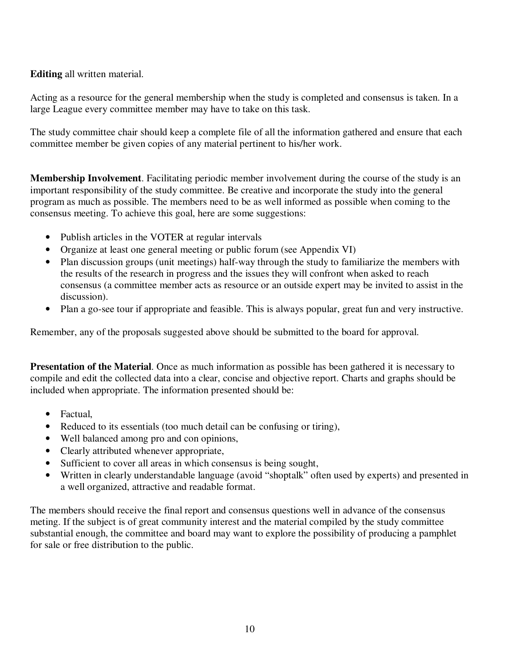### **Editing** all written material.

Acting as a resource for the general membership when the study is completed and consensus is taken. In a large League every committee member may have to take on this task.

The study committee chair should keep a complete file of all the information gathered and ensure that each committee member be given copies of any material pertinent to his/her work.

**Membership Involvement**. Facilitating periodic member involvement during the course of the study is an important responsibility of the study committee. Be creative and incorporate the study into the general program as much as possible. The members need to be as well informed as possible when coming to the consensus meeting. To achieve this goal, here are some suggestions:

- Publish articles in the VOTER at regular intervals
- Organize at least one general meeting or public forum (see Appendix VI)
- Plan discussion groups (unit meetings) half-way through the study to familiarize the members with the results of the research in progress and the issues they will confront when asked to reach consensus (a committee member acts as resource or an outside expert may be invited to assist in the discussion).
- Plan a go-see tour if appropriate and feasible. This is always popular, great fun and very instructive.

Remember, any of the proposals suggested above should be submitted to the board for approval.

**Presentation of the Material**. Once as much information as possible has been gathered it is necessary to compile and edit the collected data into a clear, concise and objective report. Charts and graphs should be included when appropriate. The information presented should be:

- Factual,
- Reduced to its essentials (too much detail can be confusing or tiring),
- Well balanced among pro and con opinions,
- Clearly attributed whenever appropriate,
- Sufficient to cover all areas in which consensus is being sought,
- Written in clearly understandable language (avoid "shoptalk" often used by experts) and presented in a well organized, attractive and readable format.

The members should receive the final report and consensus questions well in advance of the consensus meting. If the subject is of great community interest and the material compiled by the study committee substantial enough, the committee and board may want to explore the possibility of producing a pamphlet for sale or free distribution to the public.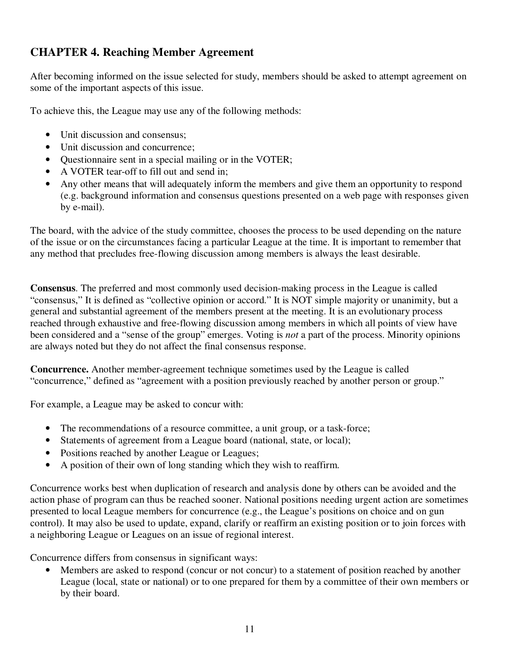# **CHAPTER 4. Reaching Member Agreement**

After becoming informed on the issue selected for study, members should be asked to attempt agreement on some of the important aspects of this issue.

To achieve this, the League may use any of the following methods:

- Unit discussion and consensus;
- Unit discussion and concurrence:
- Questionnaire sent in a special mailing or in the VOTER;
- A VOTER tear-off to fill out and send in;
- Any other means that will adequately inform the members and give them an opportunity to respond (e.g. background information and consensus questions presented on a web page with responses given by e-mail).

The board, with the advice of the study committee, chooses the process to be used depending on the nature of the issue or on the circumstances facing a particular League at the time. It is important to remember that any method that precludes free-flowing discussion among members is always the least desirable.

**Consensus**. The preferred and most commonly used decision-making process in the League is called "consensus," It is defined as "collective opinion or accord." It is NOT simple majority or unanimity, but a general and substantial agreement of the members present at the meeting. It is an evolutionary process reached through exhaustive and free-flowing discussion among members in which all points of view have been considered and a "sense of the group" emerges. Voting is *not* a part of the process. Minority opinions are always noted but they do not affect the final consensus response.

**Concurrence.** Another member-agreement technique sometimes used by the League is called "concurrence," defined as "agreement with a position previously reached by another person or group."

For example, a League may be asked to concur with:

- The recommendations of a resource committee, a unit group, or a task-force;
- Statements of agreement from a League board (national, state, or local);
- Positions reached by another League or Leagues;
- A position of their own of long standing which they wish to reaffirm.

Concurrence works best when duplication of research and analysis done by others can be avoided and the action phase of program can thus be reached sooner. National positions needing urgent action are sometimes presented to local League members for concurrence (e.g., the League's positions on choice and on gun control). It may also be used to update, expand, clarify or reaffirm an existing position or to join forces with a neighboring League or Leagues on an issue of regional interest.

Concurrence differs from consensus in significant ways:

Members are asked to respond (concur or not concur) to a statement of position reached by another League (local, state or national) or to one prepared for them by a committee of their own members or by their board.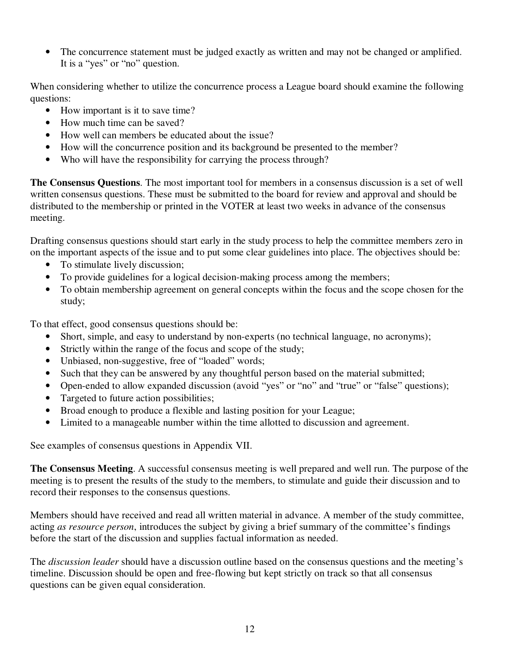• The concurrence statement must be judged exactly as written and may not be changed or amplified. It is a "yes" or "no" question.

When considering whether to utilize the concurrence process a League board should examine the following questions:

- How important is it to save time?
- How much time can be saved?
- How well can members be educated about the issue?
- How will the concurrence position and its background be presented to the member?
- Who will have the responsibility for carrying the process through?

**The Consensus Questions**. The most important tool for members in a consensus discussion is a set of well written consensus questions. These must be submitted to the board for review and approval and should be distributed to the membership or printed in the VOTER at least two weeks in advance of the consensus meeting.

Drafting consensus questions should start early in the study process to help the committee members zero in on the important aspects of the issue and to put some clear guidelines into place. The objectives should be:

- To stimulate lively discussion;
- To provide guidelines for a logical decision-making process among the members;
- To obtain membership agreement on general concepts within the focus and the scope chosen for the study;

To that effect, good consensus questions should be:

- Short, simple, and easy to understand by non-experts (no technical language, no acronyms);
- Strictly within the range of the focus and scope of the study;
- Unbiased, non-suggestive, free of "loaded" words;
- Such that they can be answered by any thoughtful person based on the material submitted;
- Open-ended to allow expanded discussion (avoid "yes" or "no" and "true" or "false" questions);
- Targeted to future action possibilities;
- Broad enough to produce a flexible and lasting position for your League;
- Limited to a manageable number within the time allotted to discussion and agreement.

See examples of consensus questions in Appendix VII.

**The Consensus Meeting**. A successful consensus meeting is well prepared and well run. The purpose of the meeting is to present the results of the study to the members, to stimulate and guide their discussion and to record their responses to the consensus questions.

Members should have received and read all written material in advance. A member of the study committee, acting *as resource person*, introduces the subject by giving a brief summary of the committee's findings before the start of the discussion and supplies factual information as needed.

The *discussion leader* should have a discussion outline based on the consensus questions and the meeting's timeline. Discussion should be open and free-flowing but kept strictly on track so that all consensus questions can be given equal consideration.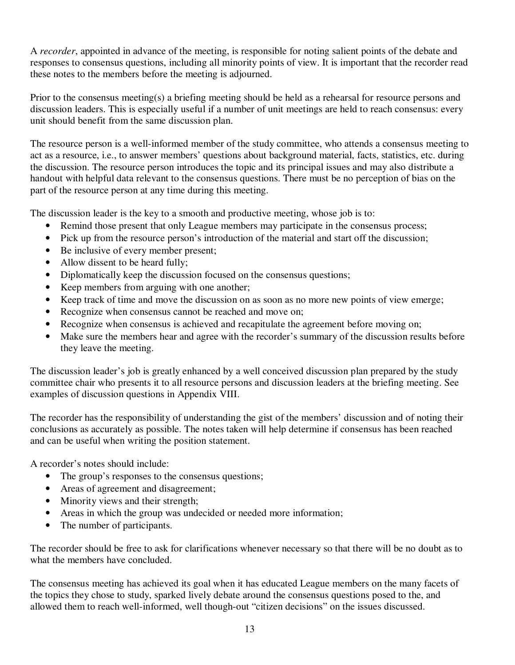A *recorder*, appointed in advance of the meeting, is responsible for noting salient points of the debate and responses to consensus questions, including all minority points of view. It is important that the recorder read these notes to the members before the meeting is adjourned.

Prior to the consensus meeting(s) a briefing meeting should be held as a rehearsal for resource persons and discussion leaders. This is especially useful if a number of unit meetings are held to reach consensus: every unit should benefit from the same discussion plan.

The resource person is a well-informed member of the study committee, who attends a consensus meeting to act as a resource, i.e., to answer members' questions about background material, facts, statistics, etc. during the discussion. The resource person introduces the topic and its principal issues and may also distribute a handout with helpful data relevant to the consensus questions. There must be no perception of bias on the part of the resource person at any time during this meeting.

The discussion leader is the key to a smooth and productive meeting, whose job is to:

- Remind those present that only League members may participate in the consensus process;
- Pick up from the resource person's introduction of the material and start off the discussion;
- Be inclusive of every member present;
- Allow dissent to be heard fully;
- Diplomatically keep the discussion focused on the consensus questions;
- Keep members from arguing with one another;
- Keep track of time and move the discussion on as soon as no more new points of view emerge;
- Recognize when consensus cannot be reached and move on;
- Recognize when consensus is achieved and recapitulate the agreement before moving on;
- Make sure the members hear and agree with the recorder's summary of the discussion results before they leave the meeting.

The discussion leader's job is greatly enhanced by a well conceived discussion plan prepared by the study committee chair who presents it to all resource persons and discussion leaders at the briefing meeting. See examples of discussion questions in Appendix VIII.

The recorder has the responsibility of understanding the gist of the members' discussion and of noting their conclusions as accurately as possible. The notes taken will help determine if consensus has been reached and can be useful when writing the position statement.

A recorder's notes should include:

- The group's responses to the consensus questions;
- Areas of agreement and disagreement;
- Minority views and their strength;
- Areas in which the group was undecided or needed more information;
- The number of participants.

The recorder should be free to ask for clarifications whenever necessary so that there will be no doubt as to what the members have concluded.

The consensus meeting has achieved its goal when it has educated League members on the many facets of the topics they chose to study, sparked lively debate around the consensus questions posed to the, and allowed them to reach well-informed, well though-out "citizen decisions" on the issues discussed.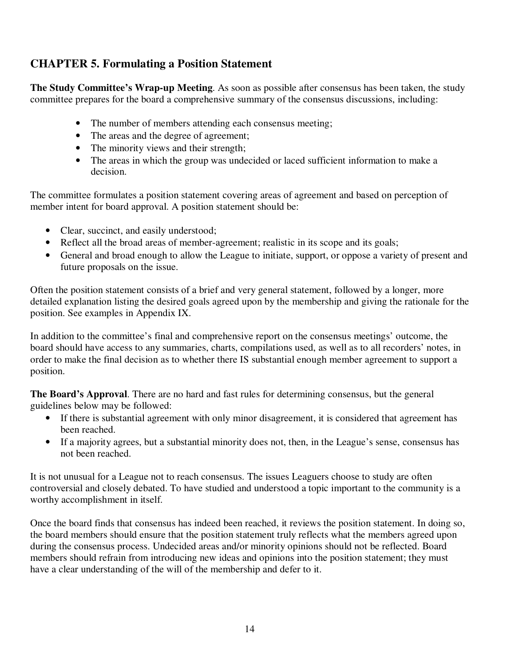## **CHAPTER 5. Formulating a Position Statement**

**The Study Committee's Wrap-up Meeting**. As soon as possible after consensus has been taken, the study committee prepares for the board a comprehensive summary of the consensus discussions, including:

- The number of members attending each consensus meeting;
- The areas and the degree of agreement;
- The minority views and their strength;
- The areas in which the group was undecided or laced sufficient information to make a decision.

The committee formulates a position statement covering areas of agreement and based on perception of member intent for board approval. A position statement should be:

- Clear, succinct, and easily understood;
- Reflect all the broad areas of member-agreement; realistic in its scope and its goals;
- General and broad enough to allow the League to initiate, support, or oppose a variety of present and future proposals on the issue.

Often the position statement consists of a brief and very general statement, followed by a longer, more detailed explanation listing the desired goals agreed upon by the membership and giving the rationale for the position. See examples in Appendix IX.

In addition to the committee's final and comprehensive report on the consensus meetings' outcome, the board should have access to any summaries, charts, compilations used, as well as to all recorders' notes, in order to make the final decision as to whether there IS substantial enough member agreement to support a position.

**The Board's Approval**. There are no hard and fast rules for determining consensus, but the general guidelines below may be followed:

- If there is substantial agreement with only minor disagreement, it is considered that agreement has been reached.
- If a majority agrees, but a substantial minority does not, then, in the League's sense, consensus has not been reached.

It is not unusual for a League not to reach consensus. The issues Leaguers choose to study are often controversial and closely debated. To have studied and understood a topic important to the community is a worthy accomplishment in itself.

Once the board finds that consensus has indeed been reached, it reviews the position statement. In doing so, the board members should ensure that the position statement truly reflects what the members agreed upon during the consensus process. Undecided areas and/or minority opinions should not be reflected. Board members should refrain from introducing new ideas and opinions into the position statement; they must have a clear understanding of the will of the membership and defer to it.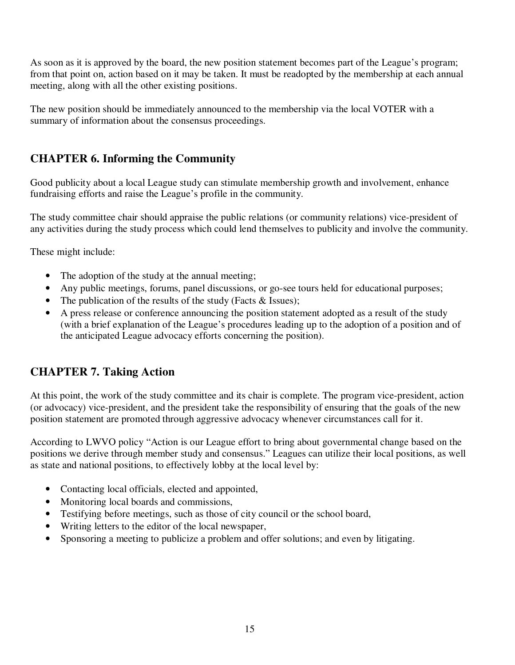As soon as it is approved by the board, the new position statement becomes part of the League's program; from that point on, action based on it may be taken. It must be readopted by the membership at each annual meeting, along with all the other existing positions.

The new position should be immediately announced to the membership via the local VOTER with a summary of information about the consensus proceedings.

### **CHAPTER 6. Informing the Community**

Good publicity about a local League study can stimulate membership growth and involvement, enhance fundraising efforts and raise the League's profile in the community.

The study committee chair should appraise the public relations (or community relations) vice-president of any activities during the study process which could lend themselves to publicity and involve the community.

These might include:

- The adoption of the study at the annual meeting;
- Any public meetings, forums, panel discussions, or go-see tours held for educational purposes;
- The publication of the results of the study (Facts & Issues);
- A press release or conference announcing the position statement adopted as a result of the study (with a brief explanation of the League's procedures leading up to the adoption of a position and of the anticipated League advocacy efforts concerning the position).

### **CHAPTER 7. Taking Action**

At this point, the work of the study committee and its chair is complete. The program vice-president, action (or advocacy) vice-president, and the president take the responsibility of ensuring that the goals of the new position statement are promoted through aggressive advocacy whenever circumstances call for it.

According to LWVO policy "Action is our League effort to bring about governmental change based on the positions we derive through member study and consensus." Leagues can utilize their local positions, as well as state and national positions, to effectively lobby at the local level by:

- Contacting local officials, elected and appointed,
- Monitoring local boards and commissions,
- Testifying before meetings, such as those of city council or the school board,
- Writing letters to the editor of the local newspaper,
- Sponsoring a meeting to publicize a problem and offer solutions; and even by litigating.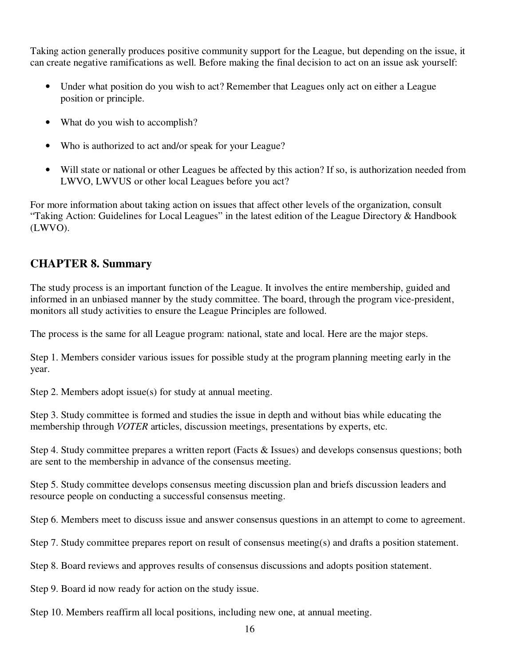Taking action generally produces positive community support for the League, but depending on the issue, it can create negative ramifications as well. Before making the final decision to act on an issue ask yourself:

- Under what position do you wish to act? Remember that Leagues only act on either a League position or principle.
- What do you wish to accomplish?
- Who is authorized to act and/or speak for your League?
- Will state or national or other Leagues be affected by this action? If so, is authorization needed from LWVO, LWVUS or other local Leagues before you act?

For more information about taking action on issues that affect other levels of the organization, consult "Taking Action: Guidelines for Local Leagues" in the latest edition of the League Directory & Handbook (LWVO).

### **CHAPTER 8. Summary**

The study process is an important function of the League. It involves the entire membership, guided and informed in an unbiased manner by the study committee. The board, through the program vice-president, monitors all study activities to ensure the League Principles are followed.

The process is the same for all League program: national, state and local. Here are the major steps.

Step 1. Members consider various issues for possible study at the program planning meeting early in the year.

Step 2. Members adopt issue(s) for study at annual meeting.

Step 3. Study committee is formed and studies the issue in depth and without bias while educating the membership through *VOTER* articles, discussion meetings, presentations by experts, etc.

Step 4. Study committee prepares a written report (Facts & Issues) and develops consensus questions; both are sent to the membership in advance of the consensus meeting.

Step 5. Study committee develops consensus meeting discussion plan and briefs discussion leaders and resource people on conducting a successful consensus meeting.

Step 6. Members meet to discuss issue and answer consensus questions in an attempt to come to agreement.

Step 7. Study committee prepares report on result of consensus meeting(s) and drafts a position statement.

Step 8. Board reviews and approves results of consensus discussions and adopts position statement.

Step 9. Board id now ready for action on the study issue.

Step 10. Members reaffirm all local positions, including new one, at annual meeting.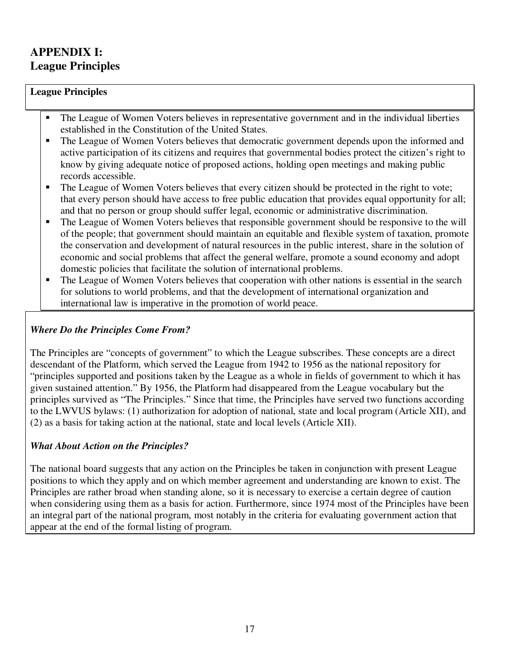# **APPENDIX I: League Principles**

### **League Principles**

- The League of Women Voters believes in representative government and in the individual liberties established in the Constitution of the United States.
- The League of Women Voters believes that democratic government depends upon the informed and active participation of its citizens and requires that governmental bodies protect the citizen's right to know by giving adequate notice of proposed actions, holding open meetings and making public records accessible.
- The League of Women Voters believes that every citizen should be protected in the right to vote; that every person should have access to free public education that provides equal opportunity for all; and that no person or group should suffer legal, economic or administrative discrimination.
- The League of Women Voters believes that responsible government should be responsive to the will of the people; that government should maintain an equitable and flexible system of taxation, promote the conservation and development of natural resources in the public interest, share in the solution of economic and social problems that affect the general welfare, promote a sound economy and adopt domestic policies that facilitate the solution of international problems.
- The League of Women Voters believes that cooperation with other nations is essential in the search for solutions to world problems, and that the development of international organization and international law is imperative in the promotion of world peace.

### *Where Do the Principles Come From?*

The Principles are "concepts of government" to which the League subscribes. These concepts are a direct descendant of the Platform, which served the League from 1942 to 1956 as the national repository for "principles supported and positions taken by the League as a whole in fields of government to which it has given sustained attention." By 1956, the Platform had disappeared from the League vocabulary but the principles survived as "The Principles." Since that time, the Principles have served two functions according to the LWVUS bylaws: (1) authorization for adoption of national, state and local program (Article XII), and (2) as a basis for taking action at the national, state and local levels (Article XII).

### *What About Action on the Principles?*

The national board suggests that any action on the Principles be taken in conjunction with present League positions to which they apply and on which member agreement and understanding are known to exist. The Principles are rather broad when standing alone, so it is necessary to exercise a certain degree of caution when considering using them as a basis for action. Furthermore, since 1974 most of the Principles have been an integral part of the national program, most notably in the criteria for evaluating government action that appear at the end of the formal listing of program.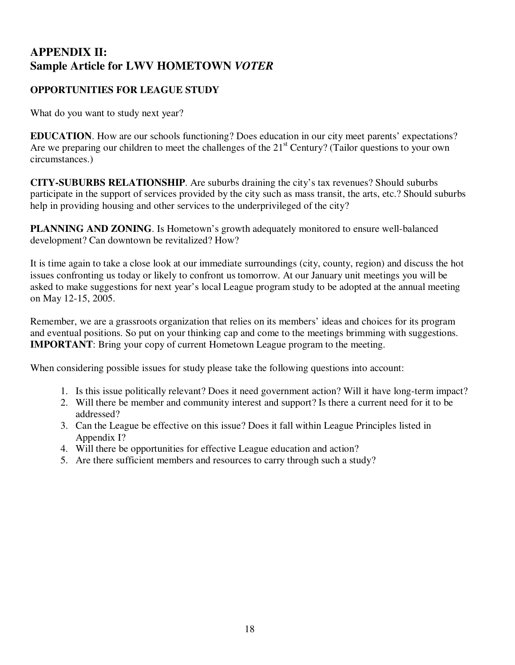# **APPENDIX II: Sample Article for LWV HOMETOWN** *VOTER*

### **OPPORTUNITIES FOR LEAGUE STUDY**

What do you want to study next year?

**EDUCATION**. How are our schools functioning? Does education in our city meet parents' expectations? Are we preparing our children to meet the challenges of the  $21<sup>st</sup>$  Century? (Tailor questions to your own circumstances.)

**CITY-SUBURBS RELATIONSHIP**. Are suburbs draining the city's tax revenues? Should suburbs participate in the support of services provided by the city such as mass transit, the arts, etc.? Should suburbs help in providing housing and other services to the underprivileged of the city?

**PLANNING AND ZONING**. Is Hometown's growth adequately monitored to ensure well-balanced development? Can downtown be revitalized? How?

It is time again to take a close look at our immediate surroundings (city, county, region) and discuss the hot issues confronting us today or likely to confront us tomorrow. At our January unit meetings you will be asked to make suggestions for next year's local League program study to be adopted at the annual meeting on May 12-15, 2005.

Remember, we are a grassroots organization that relies on its members' ideas and choices for its program and eventual positions. So put on your thinking cap and come to the meetings brimming with suggestions. **IMPORTANT**: Bring your copy of current Hometown League program to the meeting.

When considering possible issues for study please take the following questions into account:

- 1. Is this issue politically relevant? Does it need government action? Will it have long-term impact?
- 2. Will there be member and community interest and support? Is there a current need for it to be addressed?
- 3. Can the League be effective on this issue? Does it fall within League Principles listed in Appendix I?
- 4. Will there be opportunities for effective League education and action?
- 5. Are there sufficient members and resources to carry through such a study?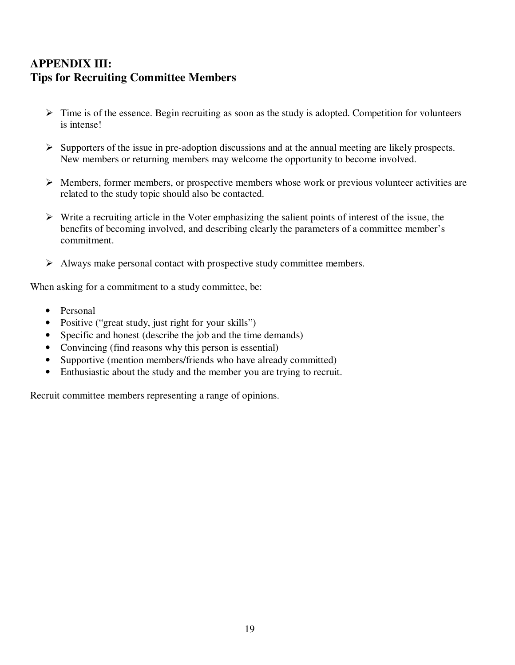### **APPENDIX III: Tips for Recruiting Committee Members**

- > Time is of the essence. Begin recruiting as soon as the study is adopted. Competition for volunteers is intense!
- Supporters of the issue in pre-adoption discussions and at the annual meeting are likely prospects. New members or returning members may welcome the opportunity to become involved.
- > Members, former members, or prospective members whose work or previous volunteer activities are related to the study topic should also be contacted.
- Write a recruiting article in the Voter emphasizing the salient points of interest of the issue, the benefits of becoming involved, and describing clearly the parameters of a committee member's commitment.
- > Always make personal contact with prospective study committee members.

When asking for a commitment to a study committee, be:

- Personal
- Positive ("great study, just right for your skills")
- Specific and honest (describe the job and the time demands)
- Convincing (find reasons why this person is essential)
- Supportive (mention members/friends who have already committed)
- Enthusiastic about the study and the member you are trying to recruit.

Recruit committee members representing a range of opinions.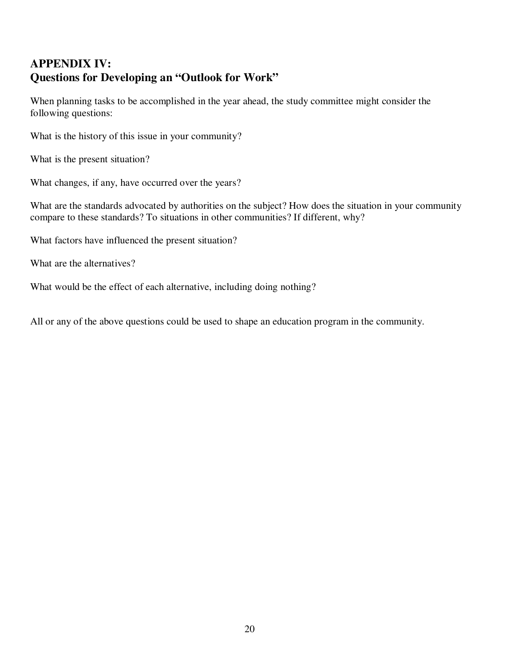# **APPENDIX IV: Questions for Developing an "Outlook for Work"**

When planning tasks to be accomplished in the year ahead, the study committee might consider the following questions:

What is the history of this issue in your community?

What is the present situation?

What changes, if any, have occurred over the years?

What are the standards advocated by authorities on the subject? How does the situation in your community compare to these standards? To situations in other communities? If different, why?

What factors have influenced the present situation?

What are the alternatives?

What would be the effect of each alternative, including doing nothing?

All or any of the above questions could be used to shape an education program in the community.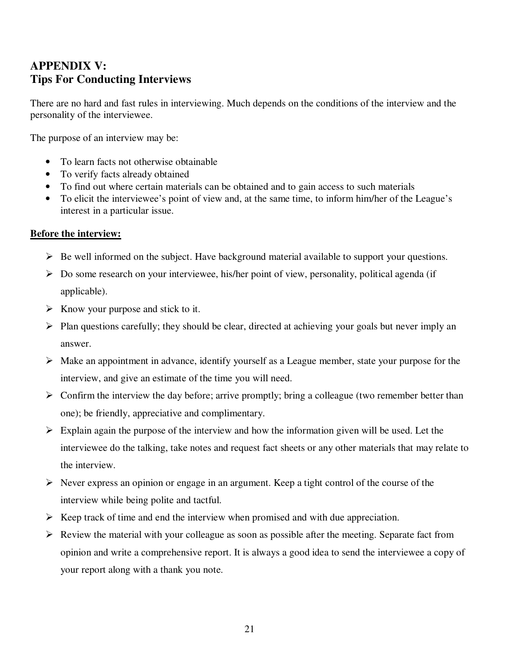# **APPENDIX V: Tips For Conducting Interviews**

There are no hard and fast rules in interviewing. Much depends on the conditions of the interview and the personality of the interviewee.

The purpose of an interview may be:

- To learn facts not otherwise obtainable
- To verify facts already obtained
- To find out where certain materials can be obtained and to gain access to such materials
- To elicit the interviewee's point of view and, at the same time, to inform him/her of the League's interest in a particular issue.

#### **Before the interview:**

- > Be well informed on the subject. Have background material available to support your questions.
- > Do some research on your interviewee, his/her point of view, personality, political agenda (if applicable).
- ► Know your purpose and stick to it.
- > Plan questions carefully; they should be clear, directed at achieving your goals but never imply an answer.
- > Make an appointment in advance, identify yourself as a League member, state your purpose for the interview, and give an estimate of the time you will need.
- > Confirm the interview the day before; arrive promptly; bring a colleague (two remember better than one); be friendly, appreciative and complimentary.
- > Explain again the purpose of the interview and how the information given will be used. Let the interviewee do the talking, take notes and request fact sheets or any other materials that may relate to the interview.
- Never express an opinion or engage in an argument. Keep a tight control of the course of the interview while being polite and tactful.
- Keep track of time and end the interview when promised and with due appreciation.
- Review the material with your colleague as soon as possible after the meeting. Separate fact from opinion and write a comprehensive report. It is always a good idea to send the interviewee a copy of your report along with a thank you note.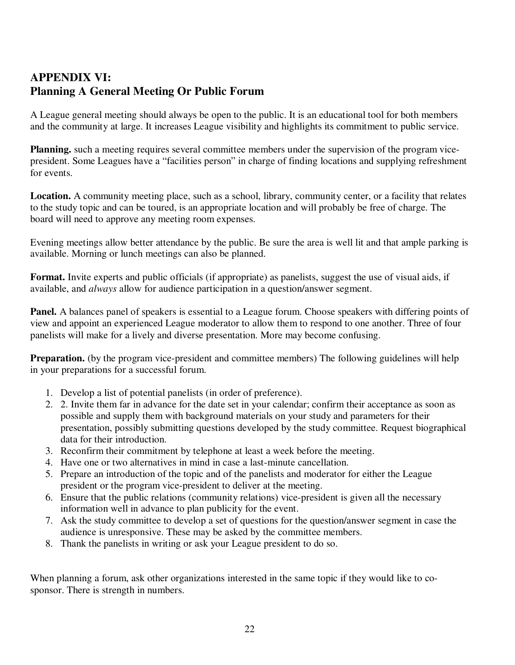# **APPENDIX VI: Planning A General Meeting Or Public Forum**

A League general meeting should always be open to the public. It is an educational tool for both members and the community at large. It increases League visibility and highlights its commitment to public service.

**Planning.** such a meeting requires several committee members under the supervision of the program vicepresident. Some Leagues have a "facilities person" in charge of finding locations and supplying refreshment for events.

**Location.** A community meeting place, such as a school, library, community center, or a facility that relates to the study topic and can be toured, is an appropriate location and will probably be free of charge. The board will need to approve any meeting room expenses.

Evening meetings allow better attendance by the public. Be sure the area is well lit and that ample parking is available. Morning or lunch meetings can also be planned.

**Format.** Invite experts and public officials (if appropriate) as panelists, suggest the use of visual aids, if available, and *always* allow for audience participation in a question/answer segment.

**Panel.** A balances panel of speakers is essential to a League forum. Choose speakers with differing points of view and appoint an experienced League moderator to allow them to respond to one another. Three of four panelists will make for a lively and diverse presentation. More may become confusing.

**Preparation.** (by the program vice-president and committee members) The following guidelines will help in your preparations for a successful forum.

- 1. Develop a list of potential panelists (in order of preference).
- 2. 2. Invite them far in advance for the date set in your calendar; confirm their acceptance as soon as possible and supply them with background materials on your study and parameters for their presentation, possibly submitting questions developed by the study committee. Request biographical data for their introduction.
- 3. Reconfirm their commitment by telephone at least a week before the meeting.
- 4. Have one or two alternatives in mind in case a last-minute cancellation.
- 5. Prepare an introduction of the topic and of the panelists and moderator for either the League president or the program vice-president to deliver at the meeting.
- 6. Ensure that the public relations (community relations) vice-president is given all the necessary information well in advance to plan publicity for the event.
- 7. Ask the study committee to develop a set of questions for the question/answer segment in case the audience is unresponsive. These may be asked by the committee members.
- 8. Thank the panelists in writing or ask your League president to do so.

When planning a forum, ask other organizations interested in the same topic if they would like to cosponsor. There is strength in numbers.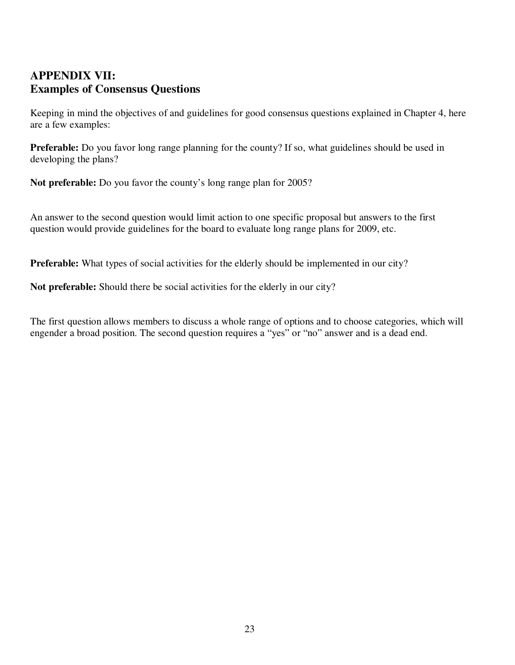# **APPENDIX VII: Examples of Consensus Questions**

Keeping in mind the objectives of and guidelines for good consensus questions explained in Chapter 4, here are a few examples:

**Preferable:** Do you favor long range planning for the county? If so, what guidelines should be used in developing the plans?

**Not preferable:** Do you favor the county's long range plan for 2005?

An answer to the second question would limit action to one specific proposal but answers to the first question would provide guidelines for the board to evaluate long range plans for 2009, etc.

**Preferable:** What types of social activities for the elderly should be implemented in our city?

**Not preferable:** Should there be social activities for the elderly in our city?

The first question allows members to discuss a whole range of options and to choose categories, which will engender a broad position. The second question requires a "yes" or "no" answer and is a dead end.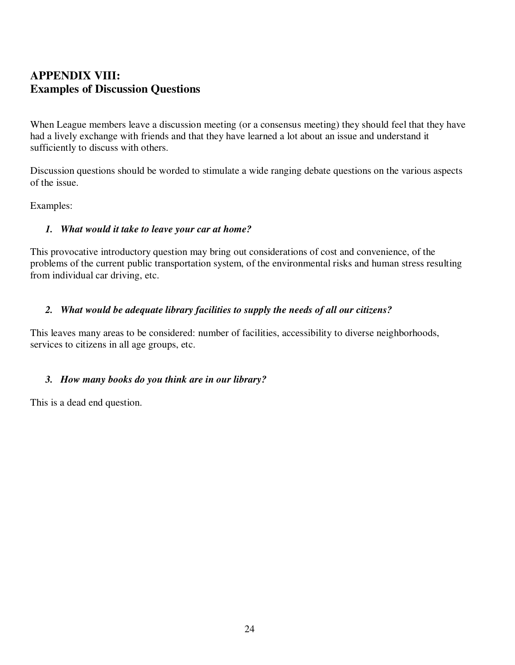# **APPENDIX VIII: Examples of Discussion Questions**

When League members leave a discussion meeting (or a consensus meeting) they should feel that they have had a lively exchange with friends and that they have learned a lot about an issue and understand it sufficiently to discuss with others.

Discussion questions should be worded to stimulate a wide ranging debate questions on the various aspects of the issue.

Examples:

### *1. What would it take to leave your car at home?*

This provocative introductory question may bring out considerations of cost and convenience, of the problems of the current public transportation system, of the environmental risks and human stress resulting from individual car driving, etc.

### *2. What would be adequate library facilities to supply the needs of all our citizens?*

This leaves many areas to be considered: number of facilities, accessibility to diverse neighborhoods, services to citizens in all age groups, etc.

### *3. How many books do you think are in our library?*

This is a dead end question.